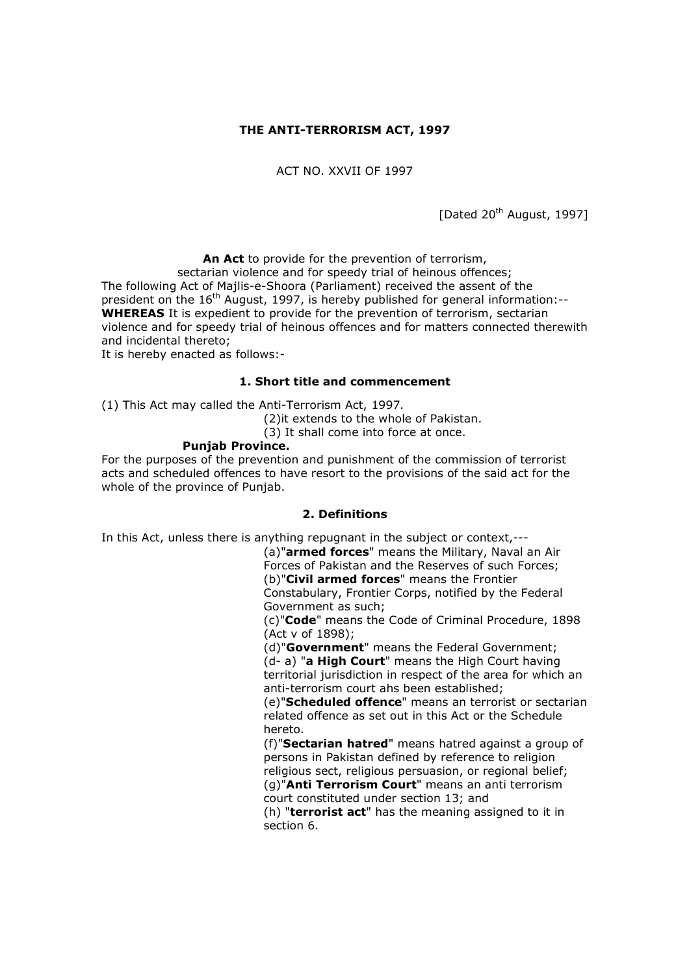## **THE ANTI-TERRORISM ACT, 1997**

ACT NO. XXVII OF 1997

[Dated 20<sup>th</sup> August, 1997]

**An Act** to provide for the prevention of terrorism,

sectarian violence and for speedy trial of heinous offences; The following Act of Majlis-e-Shoora (Parliament) received the assent of the president on the  $16<sup>th</sup>$  August, 1997, is hereby published for general information:--**WHEREAS** It is expedient to provide for the prevention of terrorism, sectarian violence and for speedy trial of heinous offences and for matters connected therewith and incidental thereto;

It is hereby enacted as follows:-

#### **1. Short title and commencement**

(1) This Act may called the Anti-Terrorism Act, 1997.

(2)it extends to the whole of Pakistan.

(3) It shall come into force at once.

#### **Punjab Province.**

For the purposes of the prevention and punishment of the commission of terrorist acts and scheduled offences to have resort to the provisions of the said act for the whole of the province of Punjab.

## **2. Definitions**

In this Act, unless there is anything repugnant in the subject or context,---

(a)"**armed forces**" means the Military, Naval an Air Forces of Pakistan and the Reserves of such Forces; (b)"**Civil armed forces**" means the Frontier Constabulary, Frontier Corps, notified by the Federal Government as such;

(c)"**Code**" means the Code of Criminal Procedure, 1898 (Act v of 1898);

(d)"**Government**" means the Federal Government; (d- a) "**a High Court**" means the High Court having territorial jurisdiction in respect of the area for which an anti-terrorism court ahs been established;

(e)"**Scheduled offence**" means an terrorist or sectarian related offence as set out in this Act or the Schedule hereto.

(f)"**Sectarian hatred**" means hatred against a group of persons in Pakistan defined by reference to religion religious sect, religious persuasion, or regional belief; (g)"**Anti Terrorism Court**" means an anti terrorism

court constituted under section 13; and

(h) "**terrorist act**" has the meaning assigned to it in section 6.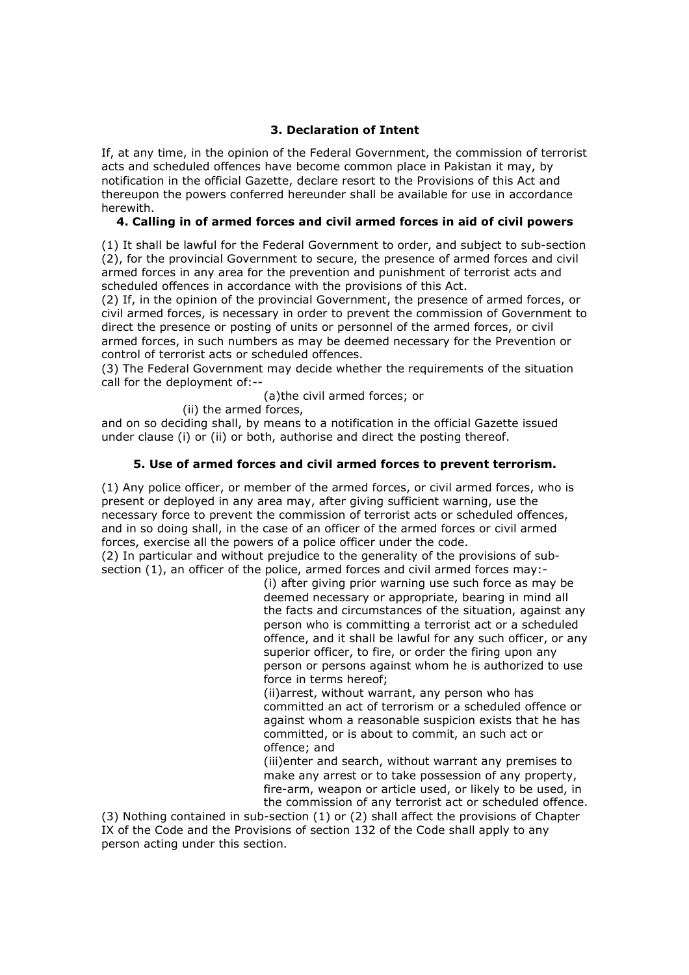# **3. Declaration of Intent**

If, at any time, in the opinion of the Federal Government, the commission of terrorist acts and scheduled offences have become common place in Pakistan it may, by notification in the official Gazette, declare resort to the Provisions of this Act and thereupon the powers conferred hereunder shall be available for use in accordance herewith.

# **4. Calling in of armed forces and civil armed forces in aid of civil powers**

(1) It shall be lawful for the Federal Government to order, and subject to sub-section (2), for the provincial Government to secure, the presence of armed forces and civil armed forces in any area for the prevention and punishment of terrorist acts and scheduled offences in accordance with the provisions of this Act.

(2) If, in the opinion of the provincial Government, the presence of armed forces, or civil armed forces, is necessary in order to prevent the commission of Government to direct the presence or posting of units or personnel of the armed forces, or civil armed forces, in such numbers as may be deemed necessary for the Prevention or control of terrorist acts or scheduled offences.

(3) The Federal Government may decide whether the requirements of the situation call for the deployment of:--

(a)the civil armed forces; or

(ii) the armed forces,

and on so deciding shall, by means to a notification in the official Gazette issued under clause (i) or (ii) or both, authorise and direct the posting thereof.

## **5. Use of armed forces and civil armed forces to prevent terrorism.**

(1) Any police officer, or member of the armed forces, or civil armed forces, who is present or deployed in any area may, after giving sufficient warning, use the necessary force to prevent the commission of terrorist acts or scheduled offences, and in so doing shall, in the case of an officer of the armed forces or civil armed forces, exercise all the powers of a police officer under the code.

(2) In particular and without prejudice to the generality of the provisions of subsection (1), an officer of the police, armed forces and civil armed forces may:-

> (i) after giving prior warning use such force as may be deemed necessary or appropriate, bearing in mind all the facts and circumstances of the situation, against any person who is committing a terrorist act or a scheduled offence, and it shall be lawful for any such officer, or any superior officer, to fire, or order the firing upon any person or persons against whom he is authorized to use force in terms hereof;

(ii)arrest, without warrant, any person who has committed an act of terrorism or a scheduled offence or against whom a reasonable suspicion exists that he has committed, or is about to commit, an such act or offence; and

(iii)enter and search, without warrant any premises to make any arrest or to take possession of any property, fire-arm, weapon or article used, or likely to be used, in the commission of any terrorist act or scheduled offence.

(3) Nothing contained in sub-section (1) or (2) shall affect the provisions of Chapter IX of the Code and the Provisions of section 132 of the Code shall apply to any person acting under this section.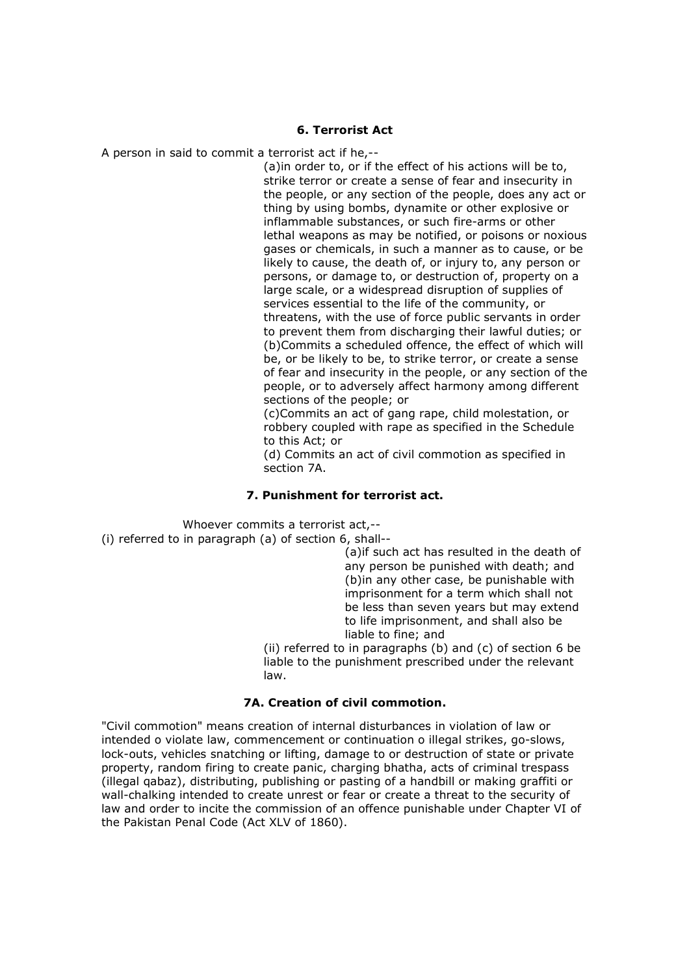#### **6. Terrorist Act**

A person in said to commit a terrorist act if he,--

(a)in order to, or if the effect of his actions will be to, strike terror or create a sense of fear and insecurity in the people, or any section of the people, does any act or thing by using bombs, dynamite or other explosive or inflammable substances, or such fire-arms or other lethal weapons as may be notified, or poisons or noxious gases or chemicals, in such a manner as to cause, or be likely to cause, the death of, or injury to, any person or persons, or damage to, or destruction of, property on a large scale, or a widespread disruption of supplies of services essential to the life of the community, or threatens, with the use of force public servants in order to prevent them from discharging their lawful duties; or (b)Commits a scheduled offence, the effect of which will be, or be likely to be, to strike terror, or create a sense of fear and insecurity in the people, or any section of the people, or to adversely affect harmony among different sections of the people; or

(c)Commits an act of gang rape, child molestation, or robbery coupled with rape as specified in the Schedule to this Act; or

(d) Commits an act of civil commotion as specified in section 7A.

## **7. Punishment for terrorist act.**

Whoever commits a terrorist act,-- (i) referred to in paragraph (a) of section 6, shall--

(a)if such act has resulted in the death of any person be punished with death; and (b)in any other case, be punishable with imprisonment for a term which shall not be less than seven years but may extend to life imprisonment, and shall also be liable to fine; and

(ii) referred to in paragraphs (b) and (c) of section 6 be liable to the punishment prescribed under the relevant law.

#### **7A. Creation of civil commotion.**

"Civil commotion" means creation of internal disturbances in violation of law or intended o violate law, commencement or continuation o illegal strikes, go-slows, lock-outs, vehicles snatching or lifting, damage to or destruction of state or private property, random firing to create panic, charging bhatha, acts of criminal trespass (illegal qabaz), distributing, publishing or pasting of a handbill or making graffiti or wall-chalking intended to create unrest or fear or create a threat to the security of law and order to incite the commission of an offence punishable under Chapter VI of the Pakistan Penal Code (Act XLV of 1860).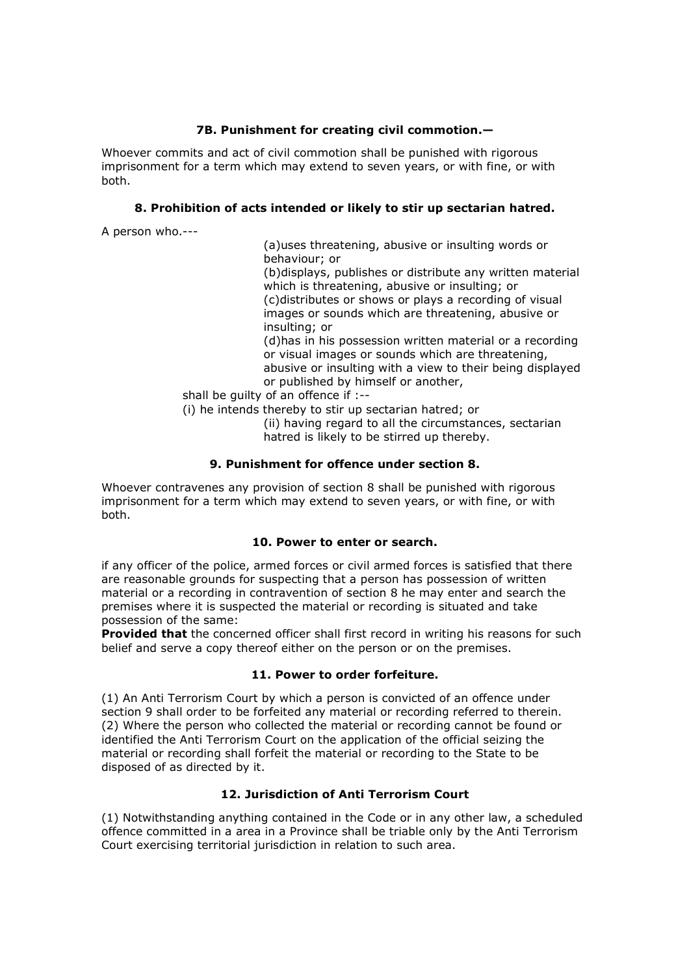# **7B. Punishment for creating civil commotion.—**

Whoever commits and act of civil commotion shall be punished with rigorous imprisonment for a term which may extend to seven years, or with fine, or with both.

# **8. Prohibition of acts intended or likely to stir up sectarian hatred.**

A person who.---

(a)uses threatening, abusive or insulting words or behaviour; or

(b)displays, publishes or distribute any written material which is threatening, abusive or insulting; or (c)distributes or shows or plays a recording of visual images or sounds which are threatening, abusive or insulting; or

(d)has in his possession written material or a recording or visual images or sounds which are threatening, abusive or insulting with a view to their being displayed or published by himself or another,

shall be guilty of an offence if :--

(i) he intends thereby to stir up sectarian hatred; or

(ii) having regard to all the circumstances, sectarian hatred is likely to be stirred up thereby.

# **9. Punishment for offence under section 8.**

Whoever contravenes any provision of section 8 shall be punished with rigorous imprisonment for a term which may extend to seven years, or with fine, or with both.

## **10. Power to enter or search.**

if any officer of the police, armed forces or civil armed forces is satisfied that there are reasonable grounds for suspecting that a person has possession of written material or a recording in contravention of section 8 he may enter and search the premises where it is suspected the material or recording is situated and take possession of the same:

**Provided that** the concerned officer shall first record in writing his reasons for such belief and serve a copy thereof either on the person or on the premises.

## **11. Power to order forfeiture.**

(1) An Anti Terrorism Court by which a person is convicted of an offence under section 9 shall order to be forfeited any material or recording referred to therein. (2) Where the person who collected the material or recording cannot be found or identified the Anti Terrorism Court on the application of the official seizing the material or recording shall forfeit the material or recording to the State to be disposed of as directed by it.

# **12. Jurisdiction of Anti Terrorism Court**

(1) Notwithstanding anything contained in the Code or in any other law, a scheduled offence committed in a area in a Province shall be triable only by the Anti Terrorism Court exercising territorial jurisdiction in relation to such area.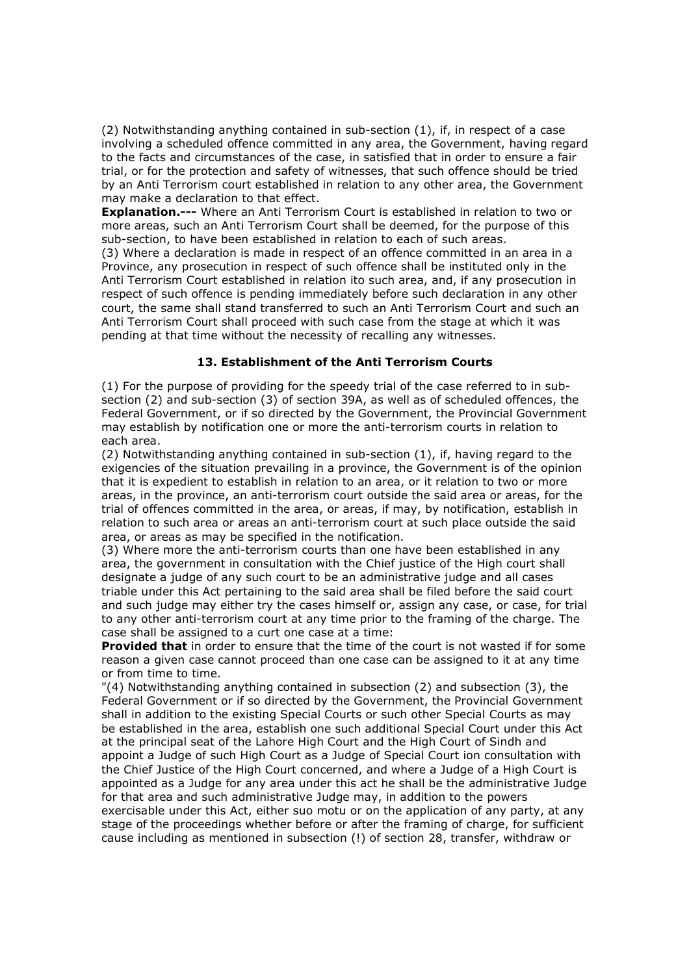(2) Notwithstanding anything contained in sub-section (1), if, in respect of a case involving a scheduled offence committed in any area, the Government, having regard to the facts and circumstances of the case, in satisfied that in order to ensure a fair trial, or for the protection and safety of witnesses, that such offence should be tried by an Anti Terrorism court established in relation to any other area, the Government may make a declaration to that effect.

**Explanation.---** Where an Anti Terrorism Court is established in relation to two or more areas, such an Anti Terrorism Court shall be deemed, for the purpose of this sub-section, to have been established in relation to each of such areas.

(3) Where a declaration is made in respect of an offence committed in an area in a Province, any prosecution in respect of such offence shall be instituted only in the Anti Terrorism Court established in relation ito such area, and, if any prosecution in respect of such offence is pending immediately before such declaration in any other court, the same shall stand transferred to such an Anti Terrorism Court and such an Anti Terrorism Court shall proceed with such case from the stage at which it was pending at that time without the necessity of recalling any witnesses.

### **13. Establishment of the Anti Terrorism Courts**

(1) For the purpose of providing for the speedy trial of the case referred to in subsection (2) and sub-section (3) of section 39A, as well as of scheduled offences, the Federal Government, or if so directed by the Government, the Provincial Government may establish by notification one or more the anti-terrorism courts in relation to each area.

(2) Notwithstanding anything contained in sub-section (1), if, having regard to the exigencies of the situation prevailing in a province, the Government is of the opinion that it is expedient to establish in relation to an area, or it relation to two or more areas, in the province, an anti-terrorism court outside the said area or areas, for the trial of offences committed in the area, or areas, if may, by notification, establish in relation to such area or areas an anti-terrorism court at such place outside the said area, or areas as may be specified in the notification.

(3) Where more the anti-terrorism courts than one have been established in any area, the government in consultation with the Chief justice of the High court shall designate a judge of any such court to be an administrative judge and all cases triable under this Act pertaining to the said area shall be filed before the said court and such judge may either try the cases himself or, assign any case, or case, for trial to any other anti-terrorism court at any time prior to the framing of the charge. The case shall be assigned to a curt one case at a time:

**Provided that** in order to ensure that the time of the court is not wasted if for some reason a given case cannot proceed than one case can be assigned to it at any time or from time to time.

"(4) Notwithstanding anything contained in subsection (2) and subsection (3), the Federal Government or if so directed by the Government, the Provincial Government shall in addition to the existing Special Courts or such other Special Courts as may be established in the area, establish one such additional Special Court under this Act at the principal seat of the Lahore High Court and the High Court of Sindh and appoint a Judge of such High Court as a Judge of Special Court ion consultation with the Chief Justice of the High Court concerned, and where a Judge of a High Court is appointed as a Judge for any area under this act he shall be the administrative Judge for that area and such administrative Judge may, in addition to the powers exercisable under this Act, either suo motu or on the application of any party, at any stage of the proceedings whether before or after the framing of charge, for sufficient cause including as mentioned in subsection (!) of section 28, transfer, withdraw or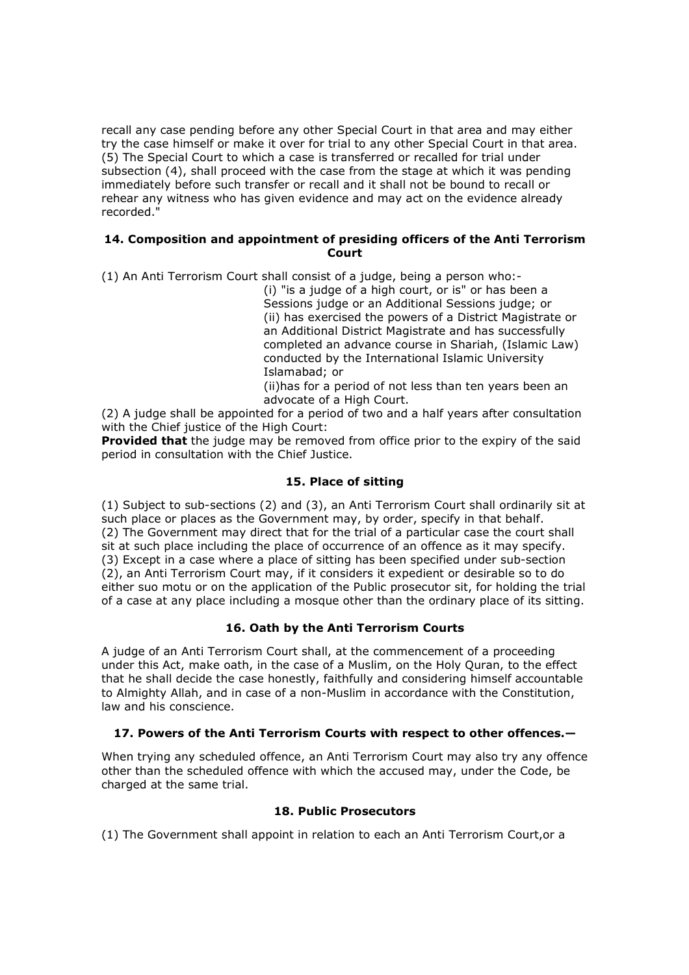recall any case pending before any other Special Court in that area and may either try the case himself or make it over for trial to any other Special Court in that area. (5) The Special Court to which a case is transferred or recalled for trial under subsection (4), shall proceed with the case from the stage at which it was pending immediately before such transfer or recall and it shall not be bound to recall or rehear any witness who has given evidence and may act on the evidence already recorded."

### **14. Composition and appointment of presiding officers of the Anti Terrorism Court**

(1) An Anti Terrorism Court shall consist of a judge, being a person who:-

(i) "is a judge of a high court, or is" or has been a Sessions judge or an Additional Sessions judge; or (ii) has exercised the powers of a District Magistrate or an Additional District Magistrate and has successfully completed an advance course in Shariah, (Islamic Law) conducted by the International Islamic University Islamabad; or

(ii)has for a period of not less than ten years been an advocate of a High Court.

(2) A judge shall be appointed for a period of two and a half years after consultation with the Chief justice of the High Court:

**Provided that** the judge may be removed from office prior to the expiry of the said period in consultation with the Chief Justice.

# **15. Place of sitting**

(1) Subject to sub-sections (2) and (3), an Anti Terrorism Court shall ordinarily sit at such place or places as the Government may, by order, specify in that behalf. (2) The Government may direct that for the trial of a particular case the court shall sit at such place including the place of occurrence of an offence as it may specify. (3) Except in a case where a place of sitting has been specified under sub-section (2), an Anti Terrorism Court may, if it considers it expedient or desirable so to do either suo motu or on the application of the Public prosecutor sit, for holding the trial of a case at any place including a mosque other than the ordinary place of its sitting.

# **16. Oath by the Anti Terrorism Courts**

A judge of an Anti Terrorism Court shall, at the commencement of a proceeding under this Act, make oath, in the case of a Muslim, on the Holy Quran, to the effect that he shall decide the case honestly, faithfully and considering himself accountable to Almighty Allah, and in case of a non-Muslim in accordance with the Constitution, law and his conscience.

## **17. Powers of the Anti Terrorism Courts with respect to other offences.—**

When trying any scheduled offence, an Anti Terrorism Court may also try any offence other than the scheduled offence with which the accused may, under the Code, be charged at the same trial.

# **18. Public Prosecutors**

(1) The Government shall appoint in relation to each an Anti Terrorism Court,or a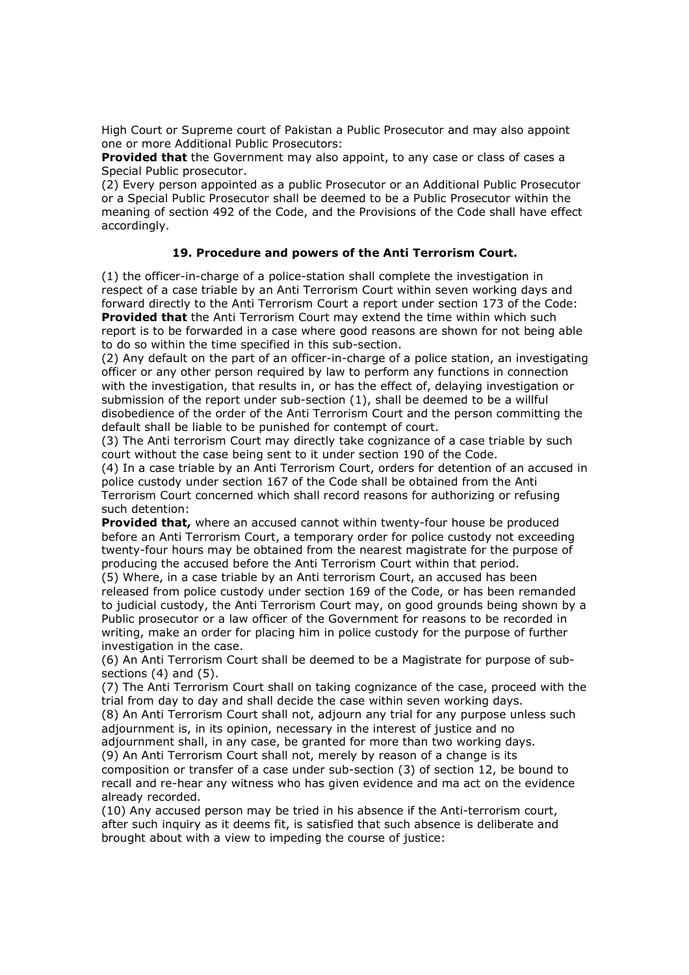High Court or Supreme court of Pakistan a Public Prosecutor and may also appoint one or more Additional Public Prosecutors:

**Provided that** the Government may also appoint, to any case or class of cases a Special Public prosecutor.

(2) Every person appointed as a public Prosecutor or an Additional Public Prosecutor or a Special Public Prosecutor shall be deemed to be a Public Prosecutor within the meaning of section 492 of the Code, and the Provisions of the Code shall have effect accordingly.

#### **19. Procedure and powers of the Anti Terrorism Court.**

(1) the officer-in-charge of a police-station shall complete the investigation in respect of a case triable by an Anti Terrorism Court within seven working days and forward directly to the Anti Terrorism Court a report under section 173 of the Code: **Provided that** the Anti Terrorism Court may extend the time within which such report is to be forwarded in a case where good reasons are shown for not being able to do so within the time specified in this sub-section.

(2) Any default on the part of an officer-in-charge of a police station, an investigating officer or any other person required by law to perform any functions in connection with the investigation, that results in, or has the effect of, delaying investigation or submission of the report under sub-section (1), shall be deemed to be a willful disobedience of the order of the Anti Terrorism Court and the person committing the default shall be liable to be punished for contempt of court.

(3) The Anti terrorism Court may directly take cognizance of a case triable by such court without the case being sent to it under section 190 of the Code.

(4) In a case triable by an Anti Terrorism Court, orders for detention of an accused in police custody under section 167 of the Code shall be obtained from the Anti Terrorism Court concerned which shall record reasons for authorizing or refusing such detention:

**Provided that,** where an accused cannot within twenty-four house be produced before an Anti Terrorism Court, a temporary order for police custody not exceeding twenty-four hours may be obtained from the nearest magistrate for the purpose of producing the accused before the Anti Terrorism Court within that period.

(5) Where, in a case triable by an Anti terrorism Court, an accused has been released from police custody under section 169 of the Code, or has been remanded to judicial custody, the Anti Terrorism Court may, on good grounds being shown by a Public prosecutor or a law officer of the Government for reasons to be recorded in writing, make an order for placing him in police custody for the purpose of further investigation in the case.

(6) An Anti Terrorism Court shall be deemed to be a Magistrate for purpose of subsections (4) and (5).

(7) The Anti Terrorism Court shall on taking cognizance of the case, proceed with the trial from day to day and shall decide the case within seven working days.

(8) An Anti Terrorism Court shall not, adjourn any trial for any purpose unless such adjournment is, in its opinion, necessary in the interest of justice and no

adjournment shall, in any case, be granted for more than two working days.

(9) An Anti Terrorism Court shall not, merely by reason of a change is its composition or transfer of a case under sub-section (3) of section 12, be bound to recall and re-hear any witness who has given evidence and ma act on the evidence already recorded.

(10) Any accused person may be tried in his absence if the Anti-terrorism court, after such inquiry as it deems fit, is satisfied that such absence is deliberate and brought about with a view to impeding the course of justice: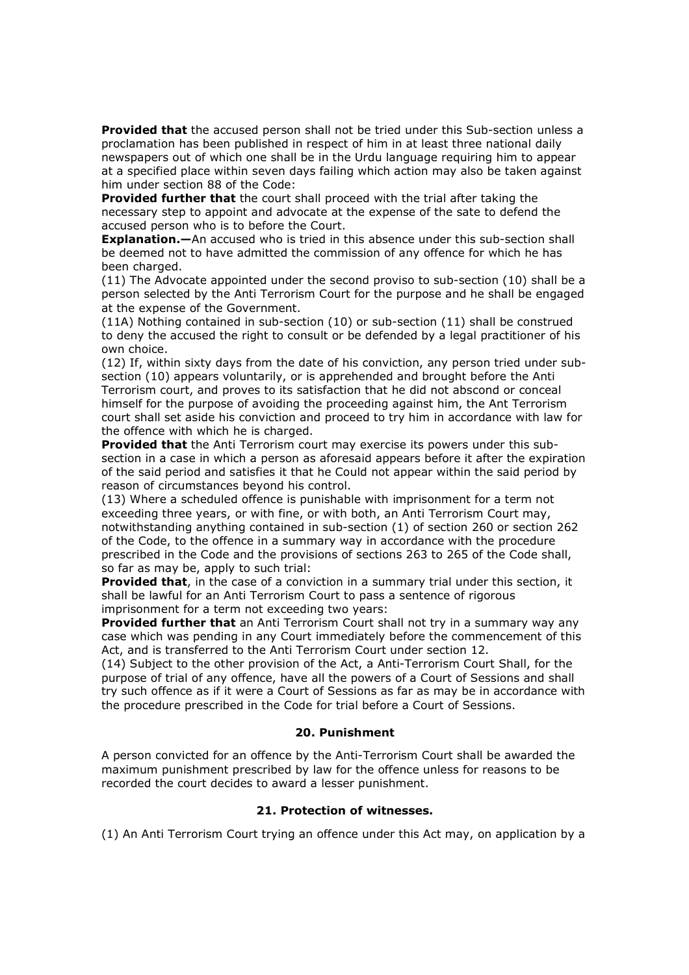**Provided that** the accused person shall not be tried under this Sub-section unless a proclamation has been published in respect of him in at least three national daily newspapers out of which one shall be in the Urdu language requiring him to appear at a specified place within seven days failing which action may also be taken against him under section 88 of the Code:

**Provided further that** the court shall proceed with the trial after taking the necessary step to appoint and advocate at the expense of the sate to defend the accused person who is to before the Court.

**Explanation.**—An accused who is tried in this absence under this sub-section shall be deemed not to have admitted the commission of any offence for which he has been charged.

(11) The Advocate appointed under the second proviso to sub-section (10) shall be a person selected by the Anti Terrorism Court for the purpose and he shall be engaged at the expense of the Government.

(11A) Nothing contained in sub-section (10) or sub-section (11) shall be construed to deny the accused the right to consult or be defended by a legal practitioner of his own choice.

(12) If, within sixty days from the date of his conviction, any person tried under subsection (10) appears voluntarily, or is apprehended and brought before the Anti Terrorism court, and proves to its satisfaction that he did not abscond or conceal himself for the purpose of avoiding the proceeding against him, the Ant Terrorism court shall set aside his conviction and proceed to try him in accordance with law for the offence with which he is charged.

**Provided that** the Anti Terrorism court may exercise its powers under this subsection in a case in which a person as aforesaid appears before it after the expiration of the said period and satisfies it that he Could not appear within the said period by reason of circumstances beyond his control.

(13) Where a scheduled offence is punishable with imprisonment for a term not exceeding three years, or with fine, or with both, an Anti Terrorism Court may, notwithstanding anything contained in sub-section (1) of section 260 or section 262 of the Code, to the offence in a summary way in accordance with the procedure prescribed in the Code and the provisions of sections 263 to 265 of the Code shall, so far as may be, apply to such trial:

**Provided that**, in the case of a conviction in a summary trial under this section, it shall be lawful for an Anti Terrorism Court to pass a sentence of rigorous imprisonment for a term not exceeding two years:

**Provided further that** an Anti Terrorism Court shall not try in a summary way any case which was pending in any Court immediately before the commencement of this Act, and is transferred to the Anti Terrorism Court under section 12.

(14) Subject to the other provision of the Act, a Anti-Terrorism Court Shall, for the purpose of trial of any offence, have all the powers of a Court of Sessions and shall try such offence as if it were a Court of Sessions as far as may be in accordance with the procedure prescribed in the Code for trial before a Court of Sessions.

## **20. Punishment**

A person convicted for an offence by the Anti-Terrorism Court shall be awarded the maximum punishment prescribed by law for the offence unless for reasons to be recorded the court decides to award a lesser punishment.

## **21. Protection of witnesses.**

(1) An Anti Terrorism Court trying an offence under this Act may, on application by a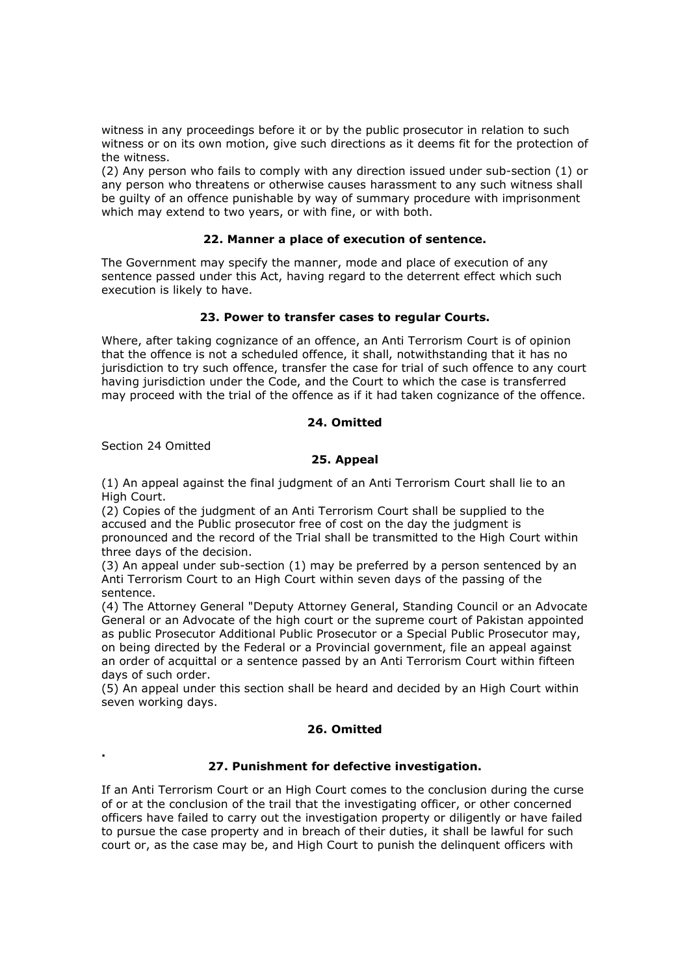witness in any proceedings before it or by the public prosecutor in relation to such witness or on its own motion, give such directions as it deems fit for the protection of the witness.

(2) Any person who fails to comply with any direction issued under sub-section (1) or any person who threatens or otherwise causes harassment to any such witness shall be guilty of an offence punishable by way of summary procedure with imprisonment which may extend to two years, or with fine, or with both.

## **22. Manner a place of execution of sentence.**

The Government may specify the manner, mode and place of execution of any sentence passed under this Act, having regard to the deterrent effect which such execution is likely to have.

# **23. Power to transfer cases to regular Courts.**

Where, after taking cognizance of an offence, an Anti Terrorism Court is of opinion that the offence is not a scheduled offence, it shall, notwithstanding that it has no jurisdiction to try such offence, transfer the case for trial of such offence to any court having jurisdiction under the Code, and the Court to which the case is transferred may proceed with the trial of the offence as if it had taken cognizance of the offence.

# **24. Omitted**

Section 24 Omitted

**.** 

# **25. Appeal**

(1) An appeal against the final judgment of an Anti Terrorism Court shall lie to an High Court.

(2) Copies of the judgment of an Anti Terrorism Court shall be supplied to the accused and the Public prosecutor free of cost on the day the judgment is pronounced and the record of the Trial shall be transmitted to the High Court within three days of the decision.

(3) An appeal under sub-section (1) may be preferred by a person sentenced by an Anti Terrorism Court to an High Court within seven days of the passing of the sentence.

(4) The Attorney General "Deputy Attorney General, Standing Council or an Advocate General or an Advocate of the high court or the supreme court of Pakistan appointed as public Prosecutor Additional Public Prosecutor or a Special Public Prosecutor may, on being directed by the Federal or a Provincial government, file an appeal against an order of acquittal or a sentence passed by an Anti Terrorism Court within fifteen days of such order.

(5) An appeal under this section shall be heard and decided by an High Court within seven working days.

# **26. Omitted**

## **27. Punishment for defective investigation.**

If an Anti Terrorism Court or an High Court comes to the conclusion during the curse of or at the conclusion of the trail that the investigating officer, or other concerned officers have failed to carry out the investigation property or diligently or have failed to pursue the case property and in breach of their duties, it shall be lawful for such court or, as the case may be, and High Court to punish the delinquent officers with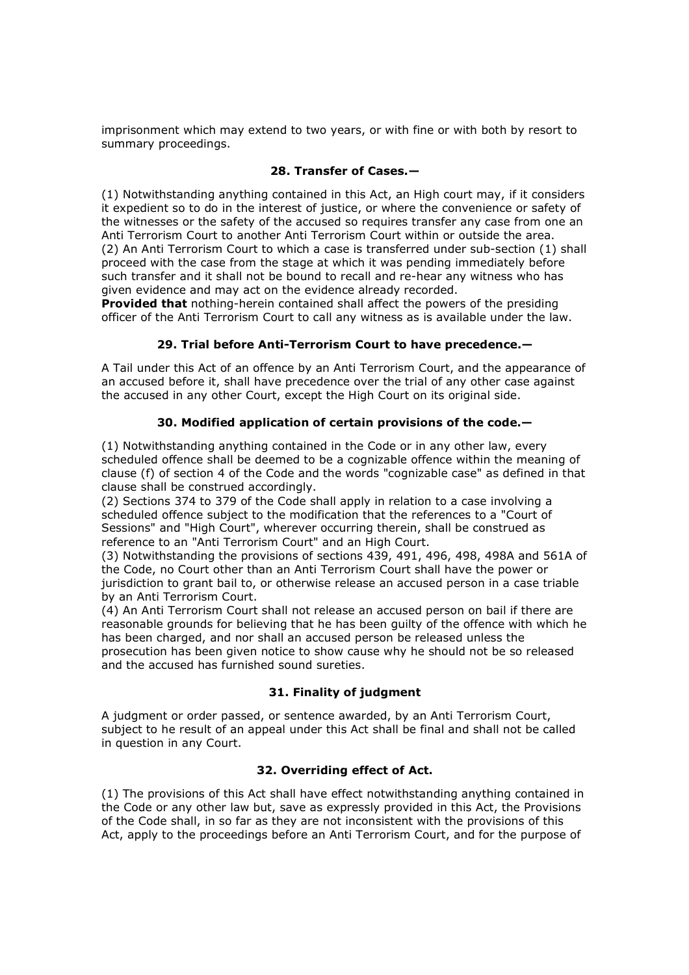imprisonment which may extend to two years, or with fine or with both by resort to summary proceedings.

# **28. Transfer of Cases.—**

(1) Notwithstanding anything contained in this Act, an High court may, if it considers it expedient so to do in the interest of justice, or where the convenience or safety of the witnesses or the safety of the accused so requires transfer any case from one an Anti Terrorism Court to another Anti Terrorism Court within or outside the area. (2) An Anti Terrorism Court to which a case is transferred under sub-section (1) shall proceed with the case from the stage at which it was pending immediately before such transfer and it shall not be bound to recall and re-hear any witness who has given evidence and may act on the evidence already recorded.

**Provided that** nothing-herein contained shall affect the powers of the presiding officer of the Anti Terrorism Court to call any witness as is available under the law.

## **29. Trial before Anti-Terrorism Court to have precedence.—**

A Tail under this Act of an offence by an Anti Terrorism Court, and the appearance of an accused before it, shall have precedence over the trial of any other case against the accused in any other Court, except the High Court on its original side.

# **30. Modified application of certain provisions of the code.—**

(1) Notwithstanding anything contained in the Code or in any other law, every scheduled offence shall be deemed to be a cognizable offence within the meaning of clause (f) of section 4 of the Code and the words "cognizable case" as defined in that clause shall be construed accordingly.

(2) Sections 374 to 379 of the Code shall apply in relation to a case involving a scheduled offence subject to the modification that the references to a "Court of Sessions" and "High Court", wherever occurring therein, shall be construed as reference to an "Anti Terrorism Court" and an High Court.

(3) Notwithstanding the provisions of sections 439, 491, 496, 498, 498A and 561A of the Code, no Court other than an Anti Terrorism Court shall have the power or jurisdiction to grant bail to, or otherwise release an accused person in a case triable by an Anti Terrorism Court.

(4) An Anti Terrorism Court shall not release an accused person on bail if there are reasonable grounds for believing that he has been guilty of the offence with which he has been charged, and nor shall an accused person be released unless the prosecution has been given notice to show cause why he should not be so released and the accused has furnished sound sureties.

## **31. Finality of judgment**

A judgment or order passed, or sentence awarded, by an Anti Terrorism Court, subject to he result of an appeal under this Act shall be final and shall not be called in question in any Court.

# **32. Overriding effect of Act.**

(1) The provisions of this Act shall have effect notwithstanding anything contained in the Code or any other law but, save as expressly provided in this Act, the Provisions of the Code shall, in so far as they are not inconsistent with the provisions of this Act, apply to the proceedings before an Anti Terrorism Court, and for the purpose of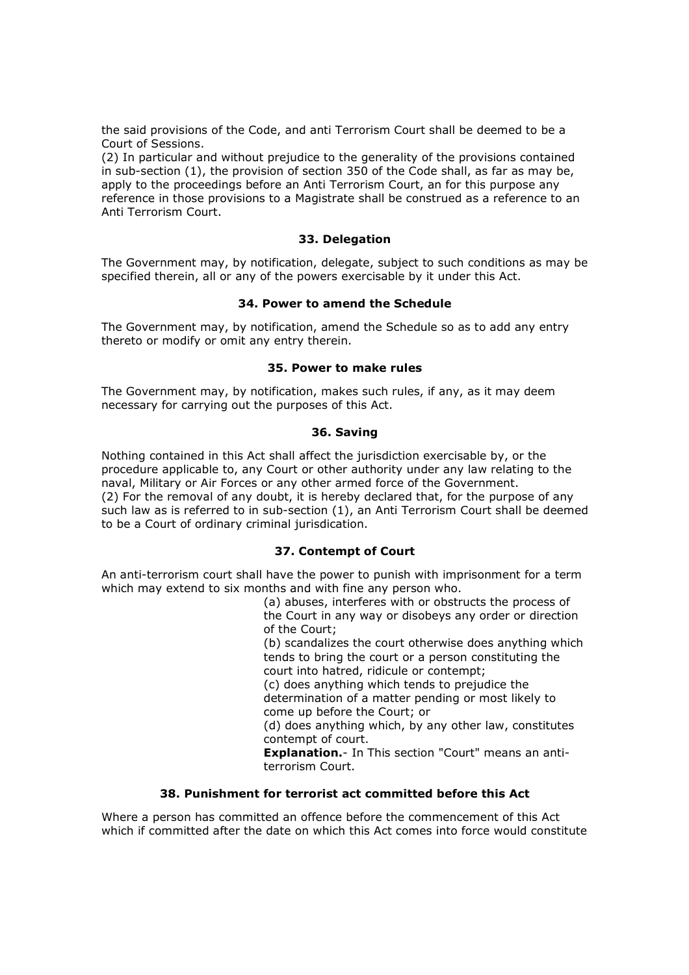the said provisions of the Code, and anti Terrorism Court shall be deemed to be a Court of Sessions.

(2) In particular and without prejudice to the generality of the provisions contained in sub-section (1), the provision of section 350 of the Code shall, as far as may be, apply to the proceedings before an Anti Terrorism Court, an for this purpose any reference in those provisions to a Magistrate shall be construed as a reference to an Anti Terrorism Court.

#### **33. Delegation**

The Government may, by notification, delegate, subject to such conditions as may be specified therein, all or any of the powers exercisable by it under this Act.

## **34. Power to amend the Schedule**

The Government may, by notification, amend the Schedule so as to add any entry thereto or modify or omit any entry therein.

#### **35. Power to make rules**

The Government may, by notification, makes such rules, if any, as it may deem necessary for carrying out the purposes of this Act.

#### **36. Saving**

Nothing contained in this Act shall affect the jurisdiction exercisable by, or the procedure applicable to, any Court or other authority under any law relating to the naval, Military or Air Forces or any other armed force of the Government. (2) For the removal of any doubt, it is hereby declared that, for the purpose of any such law as is referred to in sub-section (1), an Anti Terrorism Court shall be deemed to be a Court of ordinary criminal jurisdication.

## **37. Contempt of Court**

An anti-terrorism court shall have the power to punish with imprisonment for a term which may extend to six months and with fine any person who.

(a) abuses, interferes with or obstructs the process of the Court in any way or disobeys any order or direction of the Court; (b) scandalizes the court otherwise does anything which tends to bring the court or a person constituting the court into hatred, ridicule or contempt; (c) does anything which tends to prejudice the determination of a matter pending or most likely to come up before the Court; or (d) does anything which, by any other law, constitutes contempt of court. **Explanation.**- In This section "Court" means an antiterrorism Court.

# **38. Punishment for terrorist act committed before this Act**

Where a person has committed an offence before the commencement of this Act which if committed after the date on which this Act comes into force would constitute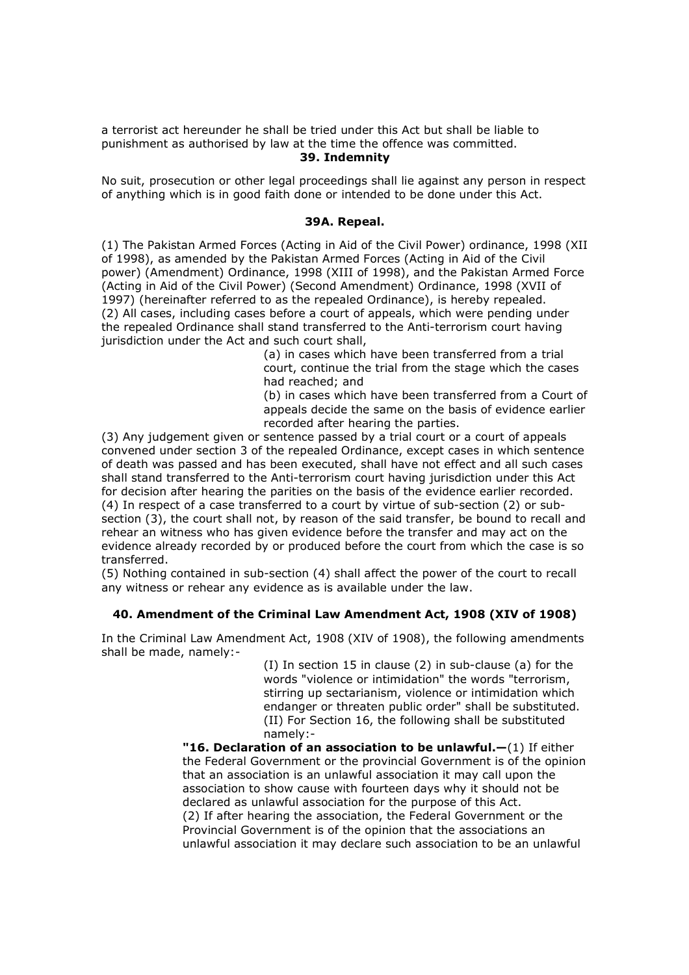a terrorist act hereunder he shall be tried under this Act but shall be liable to punishment as authorised by law at the time the offence was committed.

#### **39. Indemnity**

No suit, prosecution or other legal proceedings shall lie against any person in respect of anything which is in good faith done or intended to be done under this Act.

#### **39A. Repeal.**

(1) The Pakistan Armed Forces (Acting in Aid of the Civil Power) ordinance, 1998 (XII of 1998), as amended by the Pakistan Armed Forces (Acting in Aid of the Civil power) (Amendment) Ordinance, 1998 (XIII of 1998), and the Pakistan Armed Force (Acting in Aid of the Civil Power) (Second Amendment) Ordinance, 1998 (XVII of 1997) (hereinafter referred to as the repealed Ordinance), is hereby repealed. (2) All cases, including cases before a court of appeals, which were pending under the repealed Ordinance shall stand transferred to the Anti-terrorism court having jurisdiction under the Act and such court shall,

> (a) in cases which have been transferred from a trial court, continue the trial from the stage which the cases had reached; and

(b) in cases which have been transferred from a Court of appeals decide the same on the basis of evidence earlier recorded after hearing the parties.

(3) Any judgement given or sentence passed by a trial court or a court of appeals convened under section 3 of the repealed Ordinance, except cases in which sentence of death was passed and has been executed, shall have not effect and all such cases shall stand transferred to the Anti-terrorism court having jurisdiction under this Act for decision after hearing the parities on the basis of the evidence earlier recorded. (4) In respect of a case transferred to a court by virtue of sub-section (2) or subsection (3), the court shall not, by reason of the said transfer, be bound to recall and rehear an witness who has given evidence before the transfer and may act on the evidence already recorded by or produced before the court from which the case is so transferred.

(5) Nothing contained in sub-section (4) shall affect the power of the court to recall any witness or rehear any evidence as is available under the law.

#### **40. Amendment of the Criminal Law Amendment Act, 1908 (XIV of 1908)**

In the Criminal Law Amendment Act, 1908 (XIV of 1908), the following amendments shall be made, namely:-

> (I) In section 15 in clause (2) in sub-clause (a) for the words "violence or intimidation" the words "terrorism, stirring up sectarianism, violence or intimidation which endanger or threaten public order" shall be substituted. (II) For Section 16, the following shall be substituted namely:-

**"16. Declaration of an association to be unlawful.—**(1) If either the Federal Government or the provincial Government is of the opinion that an association is an unlawful association it may call upon the association to show cause with fourteen days why it should not be declared as unlawful association for the purpose of this Act. (2) If after hearing the association, the Federal Government or the Provincial Government is of the opinion that the associations an unlawful association it may declare such association to be an unlawful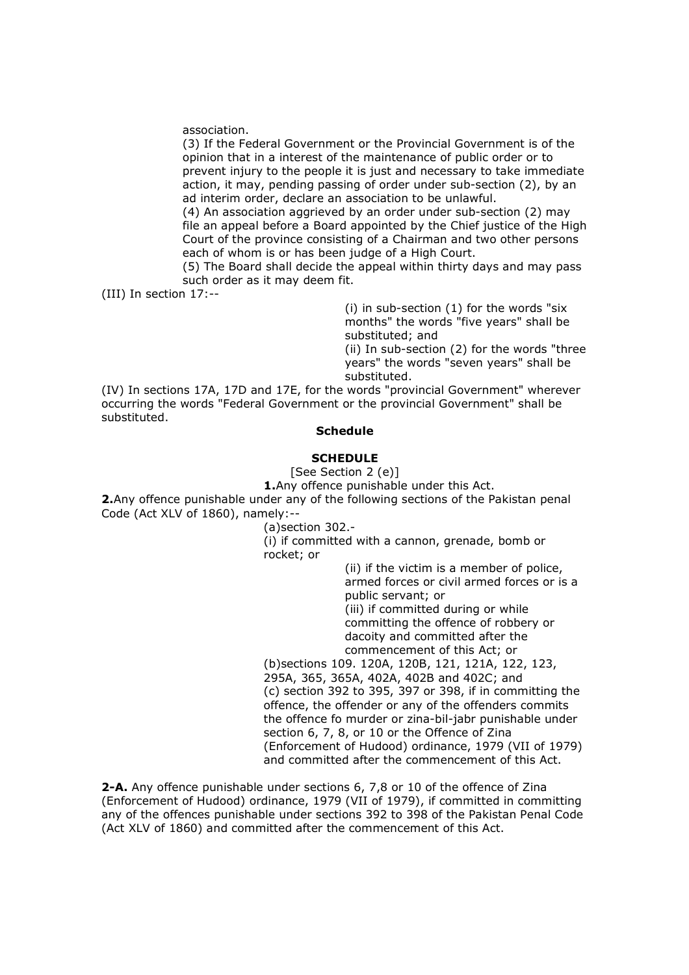association.

(3) If the Federal Government or the Provincial Government is of the opinion that in a interest of the maintenance of public order or to prevent injury to the people it is just and necessary to take immediate action, it may, pending passing of order under sub-section (2), by an ad interim order, declare an association to be unlawful.

(4) An association aggrieved by an order under sub-section (2) may file an appeal before a Board appointed by the Chief justice of the High Court of the province consisting of a Chairman and two other persons each of whom is or has been judge of a High Court.

(5) The Board shall decide the appeal within thirty days and may pass such order as it may deem fit.

(III) In section 17:--

(i) in sub-section (1) for the words "six months" the words "five years" shall be substituted; and (ii) In sub-section (2) for the words "three

years" the words "seven years" shall be substituted.

(IV) In sections 17A, 17D and 17E, for the words "provincial Government" wherever occurring the words "Federal Government or the provincial Government" shall be substituted.

#### **Schedule**

#### **SCHEDULE**

[See Section 2 (e)]

**1.**Any offence punishable under this Act.

**2.**Any offence punishable under any of the following sections of the Pakistan penal Code (Act XLV of 1860), namely:--

(a)section 302.-

(i) if committed with a cannon, grenade, bomb or rocket; or

> (ii) if the victim is a member of police, armed forces or civil armed forces or is a public servant; or (iii) if committed during or while committing the offence of robbery or dacoity and committed after the commencement of this Act; or

(b)sections 109. 120A, 120B, 121, 121A, 122, 123, 295A, 365, 365A, 402A, 402B and 402C; and (c) section 392 to 395, 397 or 398, if in committing the offence, the offender or any of the offenders commits the offence fo murder or zina-bil-jabr punishable under section 6, 7, 8, or 10 or the Offence of Zina (Enforcement of Hudood) ordinance, 1979 (VII of 1979) and committed after the commencement of this Act.

**2-A.** Any offence punishable under sections 6, 7,8 or 10 of the offence of Zina (Enforcement of Hudood) ordinance, 1979 (VII of 1979), if committed in committing any of the offences punishable under sections 392 to 398 of the Pakistan Penal Code (Act XLV of 1860) and committed after the commencement of this Act.